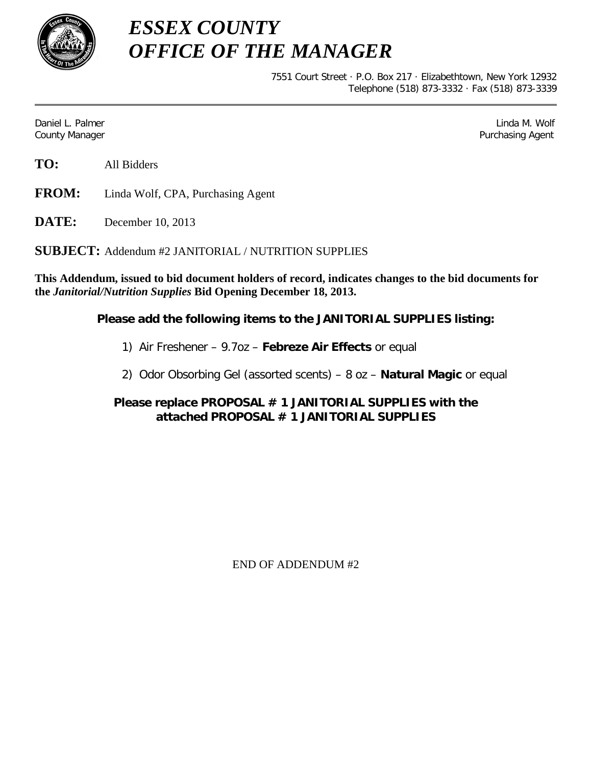

*ESSEX COUNTY OFFICE OF THE MANAGER*

> 7551 Court Street · P.O. Box 217 · Elizabethtown, New York 12932 Telephone (518) 873-3332 · Fax (518) 873-3339

Daniel L. Palmer Linda M. Wolf County Manager Purchasing Agent

**FROM:** Linda Wolf, CPA, Purchasing Agent

**DATE:** December 10, 2013

**SUBJECT:** Addendum #2 JANITORIAL / NUTRITION SUPPLIES

**This Addendum, issued to bid document holders of record, indicates changes to the bid documents for the** *Janitorial/Nutrition Supplies* **Bid Opening December 18, 2013.**

## **Please add the following items to the JANITORIAL SUPPLIES listing:**

- 1) Air Freshener 9.7oz **Febreze Air Effects** or equal
- 2) Odor Obsorbing Gel (assorted scents) 8 oz **Natural Magic** or equal

## **Please replace PROPOSAL # 1 JANITORIAL SUPPLIES with the attached PROPOSAL # 1 JANITORIAL SUPPLIES**

END OF ADDENDUM #2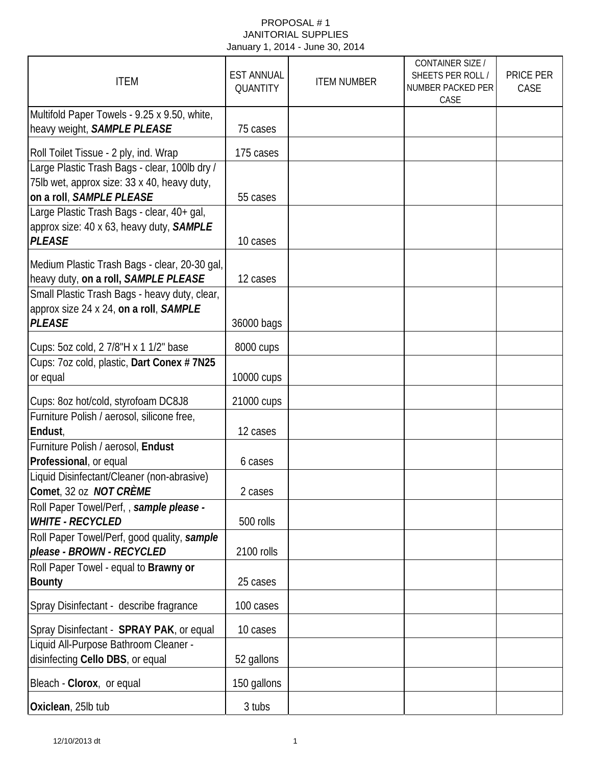| <b>ITEM</b>                                                                                                                                                                                                                         | <b>EST ANNUAL</b><br>QUANTITY | <b>ITEM NUMBER</b> | <b>CONTAINER SIZE /</b><br>SHEETS PER ROLL /<br><b>NUMBER PACKED PER</b><br>CASE | PRICE PER<br>CASE |
|-------------------------------------------------------------------------------------------------------------------------------------------------------------------------------------------------------------------------------------|-------------------------------|--------------------|----------------------------------------------------------------------------------|-------------------|
| Multifold Paper Towels - 9.25 x 9.50, white,<br>heavy weight, SAMPLE PLEASE                                                                                                                                                         | 75 cases                      |                    |                                                                                  |                   |
| Roll Toilet Tissue - 2 ply, ind. Wrap                                                                                                                                                                                               | 175 cases                     |                    |                                                                                  |                   |
| Large Plastic Trash Bags - clear, 100lb dry /<br>75lb wet, approx size: 33 x 40, heavy duty,<br>on a roll, SAMPLE PLEASE<br>Large Plastic Trash Bags - clear, 40+ gal,<br>approx size: 40 x 63, heavy duty, SAMPLE<br><b>PLEASE</b> | 55 cases<br>10 cases          |                    |                                                                                  |                   |
| Medium Plastic Trash Bags - clear, 20-30 gal,<br>heavy duty, on a roll, SAMPLE PLEASE                                                                                                                                               | 12 cases                      |                    |                                                                                  |                   |
| Small Plastic Trash Bags - heavy duty, clear,<br>approx size 24 x 24, on a roll, SAMPLE<br><b>PLEASE</b>                                                                                                                            | 36000 bags                    |                    |                                                                                  |                   |
| Cups: 5oz cold, 2 7/8"H x 1 1/2" base                                                                                                                                                                                               | 8000 cups                     |                    |                                                                                  |                   |
| Cups: 7oz cold, plastic, Dart Conex # 7N25<br>or equal                                                                                                                                                                              | 10000 cups                    |                    |                                                                                  |                   |
| Cups: 8oz hot/cold, styrofoam DC8J8                                                                                                                                                                                                 | 21000 cups                    |                    |                                                                                  |                   |
| Furniture Polish / aerosol, silicone free,<br>Endust,                                                                                                                                                                               | 12 cases                      |                    |                                                                                  |                   |
| Furniture Polish / aerosol, Endust<br>Professional, or equal                                                                                                                                                                        | 6 cases                       |                    |                                                                                  |                   |
| Liquid Disinfectant/Cleaner (non-abrasive)<br>Comet, 32 oz NOT CRÈME<br>Roll Paper Towel/Perf,, sample please -                                                                                                                     | 2 cases                       |                    |                                                                                  |                   |
| <b>WHITE - RECYCLED</b>                                                                                                                                                                                                             | 500 rolls                     |                    |                                                                                  |                   |
| Roll Paper Towel/Perf, good quality, sample<br>please - BROWN - RECYCLED                                                                                                                                                            | 2100 rolls                    |                    |                                                                                  |                   |
| Roll Paper Towel - equal to Brawny or<br><b>Bounty</b>                                                                                                                                                                              | 25 cases                      |                    |                                                                                  |                   |
| Spray Disinfectant - describe fragrance                                                                                                                                                                                             | 100 cases                     |                    |                                                                                  |                   |
| Spray Disinfectant - SPRAY PAK, or equal                                                                                                                                                                                            | 10 cases                      |                    |                                                                                  |                   |
| Liquid All-Purpose Bathroom Cleaner -<br>disinfecting Cello DBS, or equal                                                                                                                                                           | 52 gallons                    |                    |                                                                                  |                   |
| Bleach - Clorox, or equal                                                                                                                                                                                                           | 150 gallons                   |                    |                                                                                  |                   |
| Oxiclean, 25lb tub                                                                                                                                                                                                                  | 3 tubs                        |                    |                                                                                  |                   |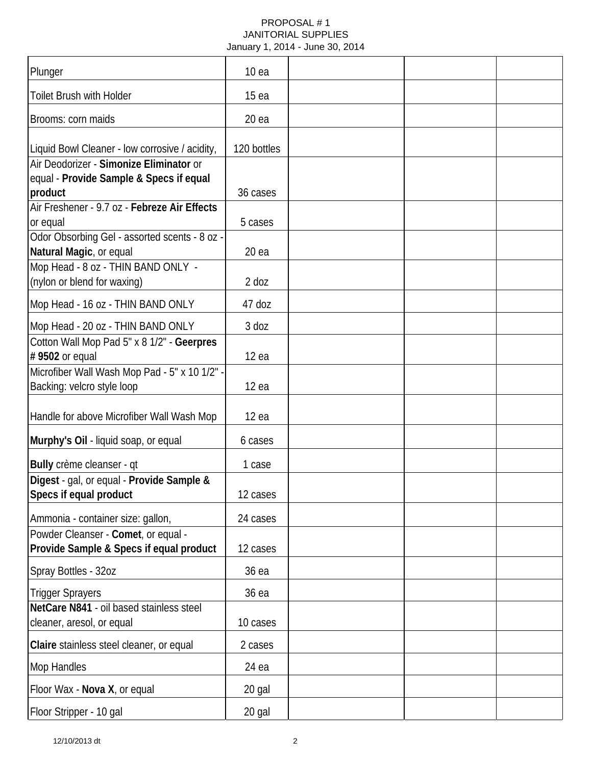| Plunger                                                                                                                                       | 10 <sub>ea</sub> |  |  |
|-----------------------------------------------------------------------------------------------------------------------------------------------|------------------|--|--|
| <b>Toilet Brush with Holder</b>                                                                                                               | 15ea             |  |  |
| Brooms: corn maids                                                                                                                            | 20ea             |  |  |
| Liquid Bowl Cleaner - low corrosive / acidity,                                                                                                | 120 bottles      |  |  |
| Air Deodorizer - Simonize Eliminator or<br>equal - Provide Sample & Specs if equal<br>product<br>Air Freshener - 9.7 oz - Febreze Air Effects | 36 cases         |  |  |
| or equal                                                                                                                                      | 5 cases          |  |  |
| Odor Obsorbing Gel - assorted scents - 8 oz -<br>Natural Magic, or equal                                                                      | 20ea             |  |  |
| Mop Head - 8 oz - THIN BAND ONLY -<br>(nylon or blend for waxing)                                                                             | $2$ doz          |  |  |
| Mop Head - 16 oz - THIN BAND ONLY                                                                                                             | 47 doz           |  |  |
| Mop Head - 20 oz - THIN BAND ONLY                                                                                                             | 3 doz            |  |  |
| Cotton Wall Mop Pad 5" x 8 1/2" - Geerpres<br># 9502 or equal                                                                                 | 12ea             |  |  |
| Microfiber Wall Wash Mop Pad - 5" x 10 1/2" -<br>Backing: velcro style loop                                                                   | 12ea             |  |  |
| Handle for above Microfiber Wall Wash Mop                                                                                                     | 12ea             |  |  |
| Murphy's Oil - liquid soap, or equal                                                                                                          | 6 cases          |  |  |
| Bully crème cleanser - qt<br>Digest - gal, or equal - Provide Sample &                                                                        | 1 case           |  |  |
| Specs if equal product                                                                                                                        | 12 cases         |  |  |
| Ammonia - container size: gallon,<br>Powder Cleanser - Comet, or equal -                                                                      | 24 cases         |  |  |
| Provide Sample & Specs if equal product                                                                                                       | 12 cases         |  |  |
| Spray Bottles - 32oz                                                                                                                          | 36 ea            |  |  |
| <b>Trigger Sprayers</b>                                                                                                                       | 36 ea            |  |  |
| NetCare N841 - oil based stainless steel<br>cleaner, aresol, or equal                                                                         | 10 cases         |  |  |
| Claire stainless steel cleaner, or equal                                                                                                      | 2 cases          |  |  |
| <b>Mop Handles</b>                                                                                                                            | 24 ea            |  |  |
| Floor Wax - Nova X, or equal                                                                                                                  | 20 gal           |  |  |
| Floor Stripper - 10 gal                                                                                                                       | 20 gal           |  |  |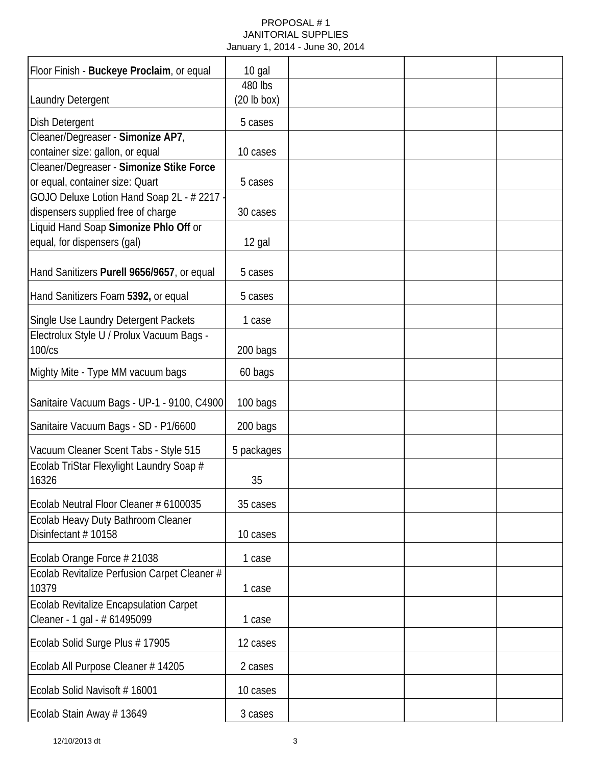| Floor Finish - Buckeye Proclaim, or equal    | 10 gal      |  |  |
|----------------------------------------------|-------------|--|--|
|                                              | 480 lbs     |  |  |
| <b>Laundry Detergent</b>                     | (20 lb box) |  |  |
| <b>Dish Detergent</b>                        | 5 cases     |  |  |
| Cleaner/Degreaser - Simonize AP7,            |             |  |  |
| container size: gallon, or equal             | 10 cases    |  |  |
| Cleaner/Degreaser - Simonize Stike Force     |             |  |  |
| or equal, container size: Quart              | 5 cases     |  |  |
| GOJO Deluxe Lotion Hand Soap 2L - # 2217 -   |             |  |  |
| dispensers supplied free of charge           | 30 cases    |  |  |
| Liquid Hand Soap Simonize Phlo Off or        |             |  |  |
| equal, for dispensers (gal)                  | 12 gal      |  |  |
|                                              |             |  |  |
| Hand Sanitizers Purell 9656/9657, or equal   | 5 cases     |  |  |
| Hand Sanitizers Foam 5392, or equal          | 5 cases     |  |  |
| Single Use Laundry Detergent Packets         | 1 case      |  |  |
| Electrolux Style U / Prolux Vacuum Bags -    |             |  |  |
| 100/cs                                       | 200 bags    |  |  |
|                                              |             |  |  |
| Mighty Mite - Type MM vacuum bags            | 60 bags     |  |  |
| Sanitaire Vacuum Bags - UP-1 - 9100, C4900   | 100 bags    |  |  |
|                                              |             |  |  |
| Sanitaire Vacuum Bags - SD - P1/6600         | 200 bags    |  |  |
| Vacuum Cleaner Scent Tabs - Style 515        | 5 packages  |  |  |
| Ecolab TriStar Flexylight Laundry Soap #     |             |  |  |
| 16326                                        | 35          |  |  |
| Ecolab Neutral Floor Cleaner # 6100035       | 35 cases    |  |  |
| Ecolab Heavy Duty Bathroom Cleaner           |             |  |  |
| Disinfectant #10158                          | 10 cases    |  |  |
| Ecolab Orange Force # 21038                  | 1 case      |  |  |
| Ecolab Revitalize Perfusion Carpet Cleaner # |             |  |  |
| 10379                                        | 1 case      |  |  |
| Ecolab Revitalize Encapsulation Carpet       |             |  |  |
| Cleaner - 1 gal - # 61495099                 | 1 case      |  |  |
|                                              |             |  |  |
| Ecolab Solid Surge Plus # 17905              | 12 cases    |  |  |
| Ecolab All Purpose Cleaner # 14205           | 2 cases     |  |  |
| Ecolab Solid Navisoft #16001                 | 10 cases    |  |  |
| Ecolab Stain Away # 13649                    | 3 cases     |  |  |